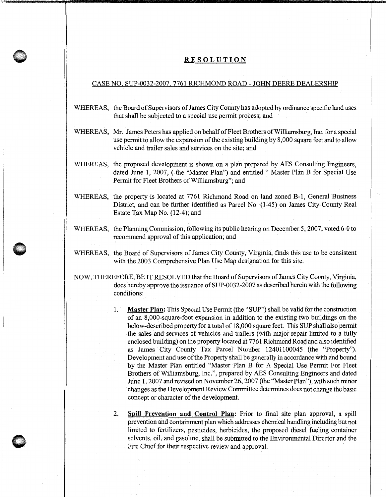## **RESOLUTION**

## CASE NO. SUP-0032-2007. 7761 RICHMOND ROAD - JOHN DEERE DEALERSHIP

- WHEREAS, the Board of Supervisors of James City County has adopted by ordinance specific land uses that shall be subjected to a special use permit process; and
- WHEREAS, Mr. James Peters has applied on behalf of Fleet Brothers of Williamsburg, Inc. for a special use permit to allow the expansion of the existing building by 8,000 square feet and to allow vehicle and trailer sales and services on the site; and
- WHEREAS, the proposed development is shown on a plan prepared by AES Consulting Engineers, dated June 1, 2007, (the "Master Plan") and entitled " Master Plan B for Special Use Permit for Fleet Brothers of Williamsburg"; and
- WHEREAS, the property is located at 7761 Richmond Road on land zoned B-1, General Business District, and can be further identified as Parcel No. (1-45) on James City County Real Estate Tax Map No. (12-4); and
- WHEREAS, the Planning Commission, following its public hearing on December 5, 2007, voted 6-0 to recommend approval of this application; and
- WHEREAS, the Board of Supervisors of James City County, Virginia, finds this use to be consistent with the 2003 Comprehensive Plan Use Map designation for this site.

**0** .

- NOW, THEREFORE, BE IT RESOLVED that the Board of Supervisors of James City County, Virginia, does hereby approve the issuance of SUP-0032-2007 as described herein with the following conditions:
	- 1. **Master Plan:** This Special Use Permit (the "SUP") shall be valid for the construction of an 8,000-square-foot expansion in addition to the existing two buildings on the below-described property for a total of 18,000 square feet. This SUP shall also permit the sales and services of vehicles and trailers (with major repair limited to a fully enclosed building) on the property located at 7761 Richmond Road and also identified as James City County Tax Parcel Number 12401100045 (the "Property"). Development and use of the Property shall be generally in accordance with and bound by the Master Plan entitled "Master Plan B for A Special Use Permit For Fleet Brothers of Williamsburg, Inc.", prepared by AES Consulting Engineers and dated June 1, 2007 and revised on November 26, 2007 (the "Master Plan"), with such minor changes as the Development Review Committee determines does not change the basic concept or character of the development.
	- 2. **Spill Prevention and Control Plan:** Prior to final site plan approval, a spill prevention and containment plan which addresses chemical handling including but not limited to fertilizers, pesticides, herbicides, the proposed diesel fueling container solvents, oil, and gasoline, shall be submitted to the Environmental Director and the Fire Chief for their respective review and approval.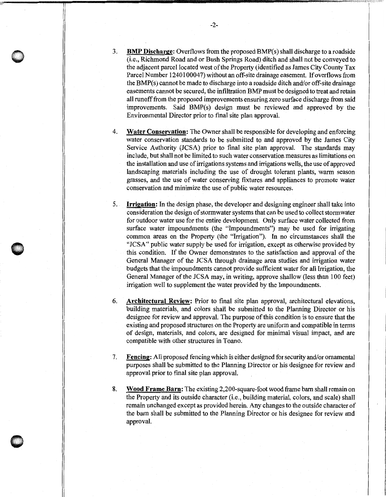3. **BMP Discharge:** Overflows from the proposed BMP(s) shall discharge to a roadside (i.e., Richmond Road and or Bush Springs Road) ditch and shall not be conveyed to the adjacent parcel located west of the Property (identified as James City County Tax Parcel Number 1240100047) without an off-site drainage easement. If overflows from the BMP(s) cannot be made to discharge into a roadside ditch and/or off-site drainage easements cannot be secured, the infiltration BMP must be designed to treat and retain all runoff from the proposed improvements ensuring zero surface discharge from said improvements. Said BMP(s) design must be reviewed and approved by the Environmental Director prior to final site plan approval.

- 4. **Water Conservation:** The Owner shall be responsible for developing and enforcing water conservation standards to be submitted to and approved by the James City Service Authority (JCSA) prior to final site plan approval. The standards may include, but shall not be limited to such water conservation measures as limitations on the installation and use of irrigations systems and irrigations wells, the use of approved landscaping materials including the use of drought tolerant plants, warm season grasses, and the use of water conserving fixtures and appliances to promote water conservation and minimize the use of public water resources.
- 5. **Irrigation:** In the design phase, the developer and designing engineer shall take into consideration the design of storm water systems that can be used to collect storm water for outdoor water use for the entire development. Only surface water collected from surface water impoundments (the "Impoundments") may be used for irrigating common areas on the Property (the "Irrigation"). In no circumstances shall the "JCSA" public water supply be used for irrigation, except as otherwise provided by this condition. If the Owner demonstrates to the satisfaction and approval of the General Manager of the JCSA through drainage area studies and irrigation water budgets that the impoundments cannot provide sufficient water for all Irrigation, the General Manager of the JCSA may, in writing, approve shallow (less than 100 feet) irrigation well to supplement the water provided by the Impoundments.
- 6. **Architectural Review:** Prior to final site plan approval, architectural elevations, building materials, and colors shall be submitted to the Planning Director or his designee for review and approval. The purpose of this condition is to ensure that the existing and proposed structures on the Property are uniform and compatible in terms of design, materials, and colors, are designed for minimal visual impact, and are compatible with other structures in Toano.
- 7. **Fencing:** All proposed fencing which is either designed for security and/or ornamental purposes shall be submitted to the Planning Director or his designee for review and approval prior to final site plan approval.
- 8. **Wood Frame Barn:** The existing 2,200-square-foot wood frame barn shall remain on the Property and its outside character (i.e., building material, colors, and scale) shall remain unchanged except as provided herein. Any changes to the outside character of the barn shall be submitted to the Planning Director or his designee for review and approval.

**0**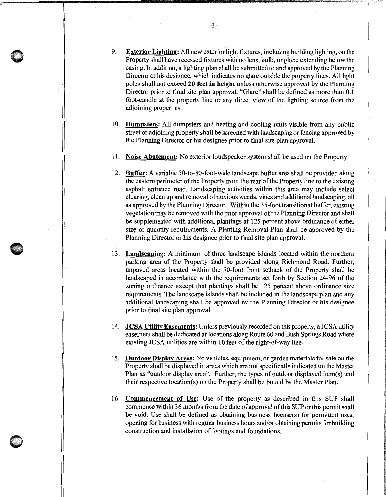- 9. Exterior Lighting: All new exterior light fixtures, including building lighting, on the Property shall have recessed fixtures with no lens, bulb, or globe extending below the casing. In addition, a lighting plan shall be submitted to and approved by the Planning Director or his designee, which indicates no glare outside the property lines. All light poles shall not exceed 20 feet in height unless otherwise approved by the Planning Director prior to final site plan approval. "Glare" shall be defined as more than 0.1 foot-candle at the property line or any direct view of the lighting source from the adjoining properties.
- 10. Dumpsters: All dumpsters and heating and cooling units visible from any public street or adjoining property shall be screened with landscaping or fencing approved by the Planning Director or his designee prior to final site plan approval.
- 11. Noise Abatement: No exterior loudspeaker system shall be used on the Property.
- 12. Buffer: A variable 50-to-80-foot-wide landscape buffer area shall be provided along the eastern perimeter of the Property from the rear of the Property line to the existing asphalt entrance road. Landscaping activities within this area may include select clearing, clean up and removal of noxious weeds, vines and additional landscaping, all as approved by the Planning Director. Within the 35-foot transitional buffer, existing vegetation may be removed with the prior approval of the Planning Director and shall be supplemented with additional plantings at 125 percent above ordinance of either size or quantity requirements. A Planting Removal Plan shall be approved by the Planning Director or his designee prior to final site plan approval.
- 13. Landscaping: A minimum of three landscape islands located within the northern parking area of the Property shall be provided along Richmond Road. Further, unpaved areas located within the 50-foot front setback of the Property shall be landscaped in accordance with the requirements set forth by Section 24-96 of the zoning ordinance except that plantings shall be 125 percent above ordinance size requirements. The landscape islands shall be included in the landscape plan and any additional landscaping shall be approved by the Planning Director or his designee prior to final site plan approval.
- 14. JCSA Utility Easements: Unless previously recorded on this property, a JCSA utility easement shall be dedicated at locations along Route 60 and Bush Springs Road where existing JCSA utilities are within 10 feet of the right-of-way line.
- 15. Outdoor Display Areas: No vehicles, equipment, or garden materials for sale on the Property shall be displayed in areas which are not specifically indicated on the Master Plan as "outdoor display area". Further, the types of outdoor displayed item(s) and their respective location(s) on the Property shall be bound by the Master Plan.
- 16. Commencement of Use: Use of the property as described in this SUP shall commence within 36 months from the date of approval of this SUP or this permit shall be void. Use shall be defined as obtaining business license(s) for permitted uses, opening for business with regular business hours and/or obtaining permits for building construction and installation of footings and foundations.